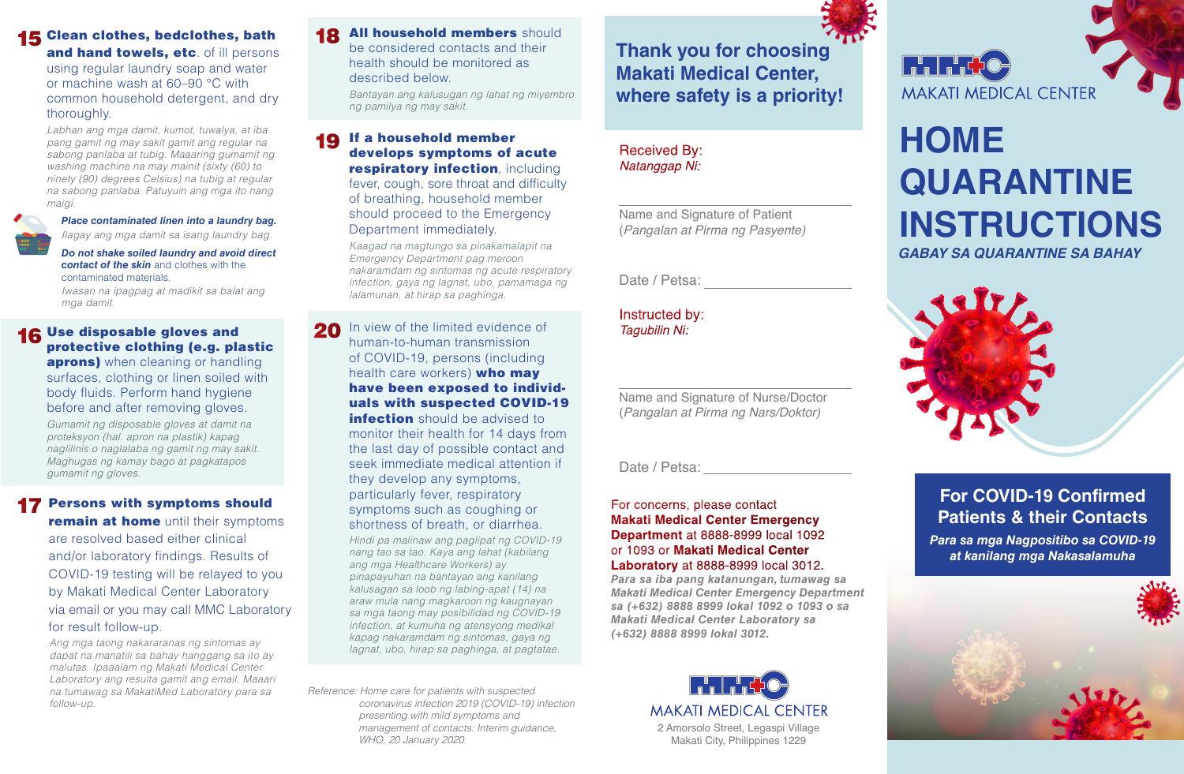## 15 Clean clothes, bedclothes, bath

and hand towels, etc. of ill persons using regular laundry soap and water or machine wash at 60–90 °C with common household detergent, and dry thoroughly.

*Labhan ang mga damit, kumot, tuwalya, at iba pang gamit ng may sakit gamit ang regular na sabong panlaba at tubig. Maaaring gumamit ng washing machine na may mainit (sixty (60) to ninety (90) degrees Celsius) na tubig at regular na sabong panlaba. Patuyuin ang mga ito nang maigi.*



*Place contaminated linen into a laundry bag. Ilagay ang mga damit sa isang laundry bag.*

*Do not shake soiled laundry and avoid direct contact of the skin* and clothes with the contaminated materials.

*Iwasan na ipagpag at madikit sa balat ang mga damit.*

#### 16 Use disposable gloves and protective clothing (e.g. plastic **aprons)** when cleaning or handling surfaces, clothing or linen soiled with body fluids. Perform hand hygiene before and after removing gloves.

*Gumamit ng disposable gloves at damit na proteksyon (hal. apron na plastik) kapag naglilinis o naglalaba ng gamit ng may sakit. Maghugas ng kamay bago at pagkatapos gumamit ng gloves.*

## **17 Persons with symptoms should**

**remain at home** until their symptoms are resolved based either clinical and/or laboratory findings. Results of COVID-19 testing will be relayed to you by Makati Medical Center Laboratory via email or you may call MMC Laboratory for result follow-up.

*Ang mga taong nakararanas ng sintomas ay dapat na manatili sa bahay hanggang sa ito ay malutas. Ipaaalam ng Makati Medical Center Laboratory ang resulta gamit ang email. Maaari na tumawag sa MakatiMed Laboratory para sa follow-up.*

18 All household members should be considered contacts and their health should be monitored as described below.

*Bantayan ang kalusugan ng lahat ng miyembro ng pamilya ng may sakit.*

19 If a household member develops symptoms of acute respiratory infection, including fever, cough, sore throat and difficulty of breathing, household member should proceed to the Emergency Department immediately.

> *Kaagad na magtungo sa pinakamalapit na Emergency Department pag meroon nakaramdam ng sintomas ng acute respiratory infection, gaya ng lagnat, ubo, pamamaga ng lalamunan, at hirap sa paghinga.*

20 In view of the limited evidence of human-to-human transmission of COVID-19, persons (including health care workers) who may have been exposed to individuals with suspected COVID-19

**infection** should be advised to monitor their health for 14 days from the last day of possible contact and seek immediate medical attention if they develop any symptoms, particularly fever, respiratory symptoms such as coughing or shortness of breath, or diarrhea.

*Hindi pa malinaw ang paglipat ng COVID-19 nang tao sa tao. Kaya ang lahat (kabilang ang mga Healthcare Workers) ay pinapayuhan na bantayan ang kanilang kalusagan sa loob ng labing-apat (14) na araw mula nang magkaroon ng kaugnayan sa mga taong may posibilidad ng COVID-19 infection, at kumuha ng atensyong medikal kapag nakaramdam ng sintomas, gaya ng lagnat, ubo, hirap sa paghinga, at pagtatae.*

*Reference: Home care for patients with suspected coronavirus infection 2019 (COVID-19) infection presenting with mild symptoms and management of contacts: Interim guidance, WHO, 20 January 2020* 

**Thank you for choosing Makati Medical Center, where safety is a priority!**

## Received By: *Natanggap Ni:*

 $\overline{a}$ 

Name and Signature of Patient (*Pangalan at Pirma ng Pasyente)*

Date / Petsa:

Instructed by: *Tagubilin Ni:*

Name and Signature of Nurse/Doctor (*Pangalan at Pirma ng Nars/Doktor)*

Date / Petsa:

### For concerns, please contact **Makati Medical Center Emergency Department** at 8888-8999 local 1092 or 1093 or **Makati Medical Center Laboratory** at 8888-8999 local 3012.

*Para sa iba pang katanungan, tumawag sa Makati Medical Center Emergency Department sa (+632) 8888 8999 lokal 1092 o 1093 o sa Makati Medical Center Laboratory sa (+632) 8888 8999 lokal 3012.*



## **Friedrich MAKATI MEDICAL CENTER**

# **HOME QUARANTINE INSTRUCTIONS**

*GABAY SA QUARANTINE SA BAHAY*



## **For COVID-19 Confirmed Patients & their Contacts**

*Para sa mga Nagpositibo sa COVID-19 at kanilang mga Nakasalamuha*